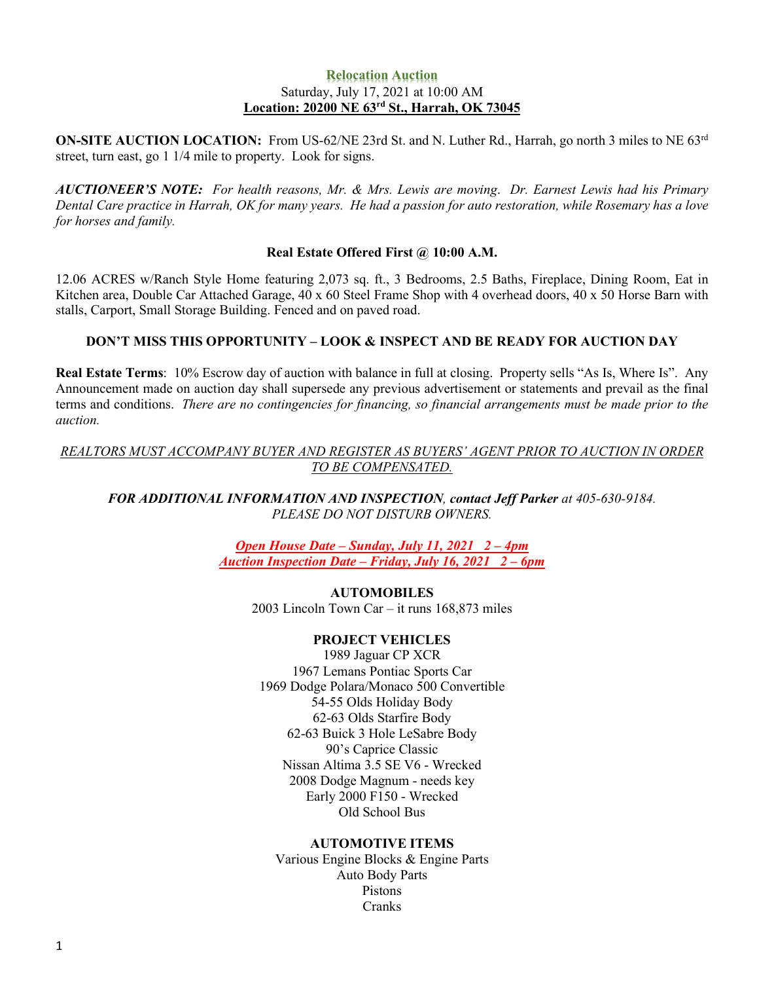## **Relocation Auction** Saturday, July 17, 2021 at 10:00 AM **Location: 20200 NE 63rd St., Harrah, OK 73045**

**ON-SITE AUCTION LOCATION:** From US-62/NE 23rd St. and N. Luther Rd., Harrah, go north 3 miles to NE 63rd street, turn east, go 1 1/4 mile to property. Look for signs.

*AUCTIONEER'S NOTE: For health reasons, Mr. & Mrs. Lewis are moving*. *Dr. Earnest Lewis had his Primary* Dental Care practice in Harrah, OK for many years. He had a passion for auto restoration, while Rosemary has a love *for horses and family.*

# **Real Estate Offered First @ 10:00 A.M.**

12.06 ACRES w/Ranch Style Home featuring 2,073 sq. ft., 3 Bedrooms, 2.5 Baths, Fireplace, Dining Room, Eat in Kitchen area, Double Car Attached Garage, 40 x 60 Steel Frame Shop with 4 overhead doors, 40 x 50 Horse Barn with stalls, Carport, Small Storage Building. Fenced and on paved road.

# **DON'T MISS THIS OPPORTUNITY – LOOK & INSPECT AND BE READY FOR AUCTION DAY**

**Real Estate Terms**: 10% Escrow day of auction with balance in full at closing. Property sells "As Is, Where Is". Any Announcement made on auction day shall supersede any previous advertisement or statements and prevail as the final terms and conditions. *There are no contingencies for financing, so financial arrangements must be made prior to the auction.*

*REALTORS MUST ACCOMPANY BUYER AND REGISTER AS BUYERS' AGENT PRIOR TO AUCTION IN ORDER TO BE COMPENSATED.*

*FOR ADDITIONAL INFORMATION AND INSPECTION, contact Jeff Parker at 405-630-9184. PLEASE DO NOT DISTURB OWNERS.*

> *Open House Date – Sunday, July 11, 2021 2 – 4pm Auction Inspection Date – Friday, July 16, 2021 2 – 6pm*

> > **AUTOMOBILES** 2003 Lincoln Town Car – it runs 168,873 miles

## **PROJECT VEHICLES**

1989 Jaguar CP XCR 1967 Lemans Pontiac Sports Car 1969 Dodge Polara/Monaco 500 Convertible 54-55 Olds Holiday Body 62-63 Olds Starfire Body 62-63 Buick 3 Hole LeSabre Body 90's Caprice Classic Nissan Altima 3.5 SE V6 - Wrecked 2008 Dodge Magnum - needs key Early 2000 F150 - Wrecked Old School Bus

### **AUTOMOTIVE ITEMS**

Various Engine Blocks & Engine Parts Auto Body Parts Pistons Cranks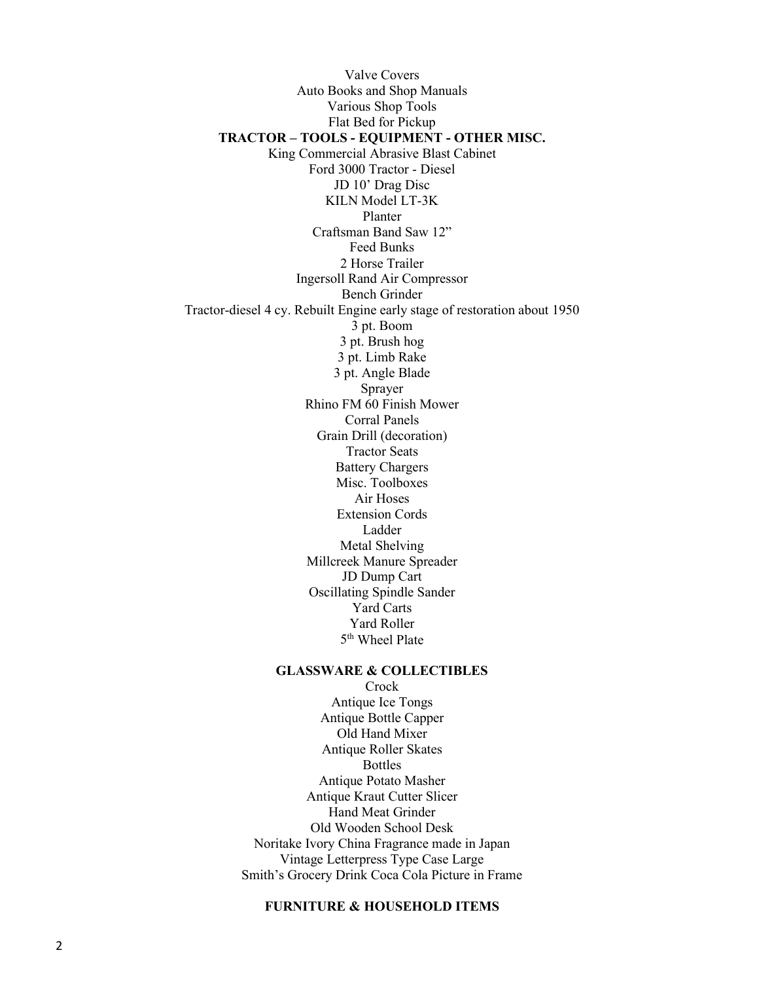Valve Covers Auto Books and Shop Manuals Various Shop Tools Flat Bed for Pickup **TRACTOR – TOOLS - EQUIPMENT - OTHER MISC.** King Commercial Abrasive Blast Cabinet Ford 3000 Tractor - Diesel JD 10' Drag Disc KILN Model LT-3K Planter Craftsman Band Saw 12" Feed Bunks 2 Horse Trailer Ingersoll Rand Air Compressor Bench Grinder Tractor-diesel 4 cy. Rebuilt Engine early stage of restoration about 1950 3 pt. Boom 3 pt. Brush hog 3 pt. Limb Rake 3 pt. Angle Blade Sprayer Rhino FM 60 Finish Mower Corral Panels Grain Drill (decoration) Tractor Seats Battery Chargers Misc. Toolboxes Air Hoses Extension Cords Ladder Metal Shelving Millcreek Manure Spreader JD Dump Cart Oscillating Spindle Sander Yard Carts Yard Roller 5<sup>th</sup> Wheel Plate **GLASSWARE & COLLECTIBLES Crock** Antique Ice Tongs Antique Bottle Capper Old Hand Mixer Antique Roller Skates Bottles Antique Potato Masher Antique Kraut Cutter Slicer

Hand Meat Grinder Old Wooden School Desk Noritake Ivory China Fragrance made in Japan Vintage Letterpress Type Case Large Smith's Grocery Drink Coca Cola Picture in Frame

### **FURNITURE & HOUSEHOLD ITEMS**